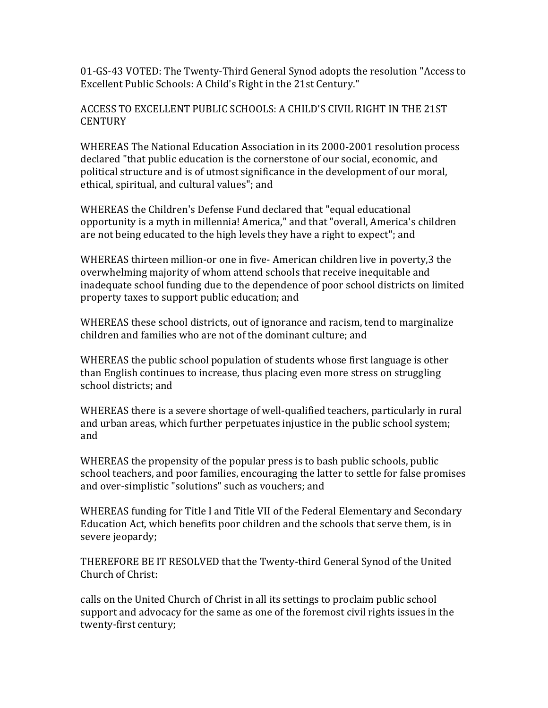01-GS-43 VOTED: The Twenty-Third General Synod adopts the resolution "Access to Excellent Public Schools: A Child's Right in the 21st Century."

## ACCESS TO EXCELLENT PUBLIC SCHOOLS: A CHILD'S CIVIL RIGHT IN THE 21ST **CENTURY**

WHEREAS The National Education Association in its 2000-2001 resolution process declared "that public education is the cornerstone of our social, economic, and political structure and is of utmost significance in the development of our moral, ethical, spiritual, and cultural values"; and

WHEREAS the Children's Defense Fund declared that "equal educational opportunity is a myth in millennia! America," and that "overall, America's children are not being educated to the high levels they have a right to expect"; and

WHEREAS thirteen million-or one in five- American children live in poverty,3 the overwhelming majority of whom attend schools that receive inequitable and inadequate school funding due to the dependence of poor school districts on limited property taxes to support public education; and

WHEREAS these school districts, out of ignorance and racism, tend to marginalize children and families who are not of the dominant culture; and

WHEREAS the public school population of students whose first language is other than English continues to increase, thus placing even more stress on struggling school districts; and

WHEREAS there is a severe shortage of well-qualified teachers, particularly in rural and urban areas, which further perpetuates injustice in the public school system; and

WHEREAS the propensity of the popular press is to bash public schools, public school teachers, and poor families, encouraging the latter to settle for false promises and over-simplistic "solutions" such as vouchers; and

WHEREAS funding for Title I and Title VII of the Federal Elementary and Secondary Education Act, which benefits poor children and the schools that serve them, is in severe jeopardy;

THEREFORE BE IT RESOLVED that the Twenty-third General Synod of the United Church of Christ:

calls on the United Church of Christ in all its settings to proclaim public school support and advocacy for the same as one of the foremost civil rights issues in the twenty-first century;